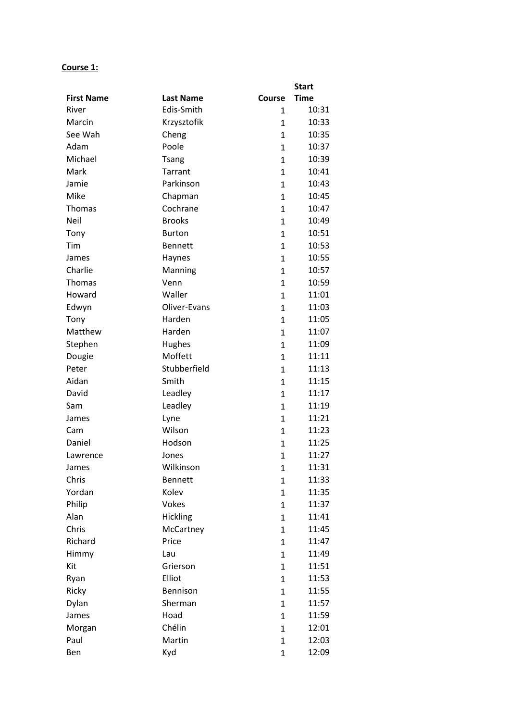# **Course 1:**

|                   |                  |              | <b>Start</b> |
|-------------------|------------------|--------------|--------------|
| <b>First Name</b> | <b>Last Name</b> | Course       | <b>Time</b>  |
| River             | Edis-Smith       | $\mathbf{1}$ | 10:31        |
| Marcin            | Krzysztofik      | 1            | 10:33        |
| See Wah           | Cheng            | 1            | 10:35        |
| Adam              | Poole            | $\mathbf{1}$ | 10:37        |
| Michael           | <b>Tsang</b>     | 1            | 10:39        |
| Mark              | Tarrant          | $\mathbf{1}$ | 10:41        |
| Jamie             | Parkinson        | $\mathbf{1}$ | 10:43        |
| Mike              | Chapman          | $\mathbf{1}$ | 10:45        |
| Thomas            | Cochrane         | $\mathbf{1}$ | 10:47        |
| Neil              | <b>Brooks</b>    | 1            | 10:49        |
| Tony              | <b>Burton</b>    | $\mathbf{1}$ | 10:51        |
| Tim               | <b>Bennett</b>   | $\mathbf{1}$ | 10:53        |
| James             | Haynes           | $\mathbf{1}$ | 10:55        |
| Charlie           | Manning          | $\mathbf{1}$ | 10:57        |
| <b>Thomas</b>     | Venn             | 1            | 10:59        |
| Howard            | Waller           | $\mathbf{1}$ | 11:01        |
| Edwyn             | Oliver-Evans     | $\mathbf{1}$ | 11:03        |
| Tony              | Harden           | 1            | 11:05        |
| Matthew           | Harden           | $\mathbf{1}$ | 11:07        |
| Stephen           | Hughes           | 1            | 11:09        |
| Dougie            | Moffett          | $\mathbf{1}$ | 11:11        |
| Peter             | Stubberfield     | $\mathbf{1}$ | 11:13        |
| Aidan             | Smith            | $\mathbf{1}$ | 11:15        |
| David             | Leadley          | $\mathbf{1}$ | 11:17        |
| Sam               | Leadley          | 1            | 11:19        |
| James             | Lyne             | 1            | 11:21        |
| Cam               | Wilson           | $\mathbf{1}$ | 11:23        |
| Daniel            | Hodson           | 1            | 11:25        |
| Lawrence          | Jones            | $\mathbf{1}$ | 11:27        |
| James             | Wilkinson        | 1            | 11:31        |
| Chris             | <b>Bennett</b>   | $\mathbf{1}$ | 11:33        |
| Yordan            | Kolev            | $\mathbf{1}$ | 11:35        |
| Philip            | Vokes            | $\mathbf{1}$ | 11:37        |
| Alan              | Hickling         | $\mathbf{1}$ | 11:41        |
| Chris             | McCartney        | $\mathbf{1}$ | 11:45        |
| Richard           | Price            | $\mathbf{1}$ | 11:47        |
| Himmy             | Lau              | $\mathbf{1}$ | 11:49        |
| Kit               | Grierson         | $\mathbf{1}$ | 11:51        |
| Ryan              | Elliot           | $\mathbf{1}$ | 11:53        |
| Ricky             | Bennison         | $\mathbf{1}$ | 11:55        |
| Dylan             | Sherman          | $\mathbf{1}$ | 11:57        |
| James             | Hoad             | $\mathbf{1}$ | 11:59        |
| Morgan            | Chélin           | $\mathbf{1}$ | 12:01        |
| Paul              | Martin           | $\mathbf{1}$ | 12:03        |
| Ben               | Kyd              | $\mathbf 1$  | 12:09        |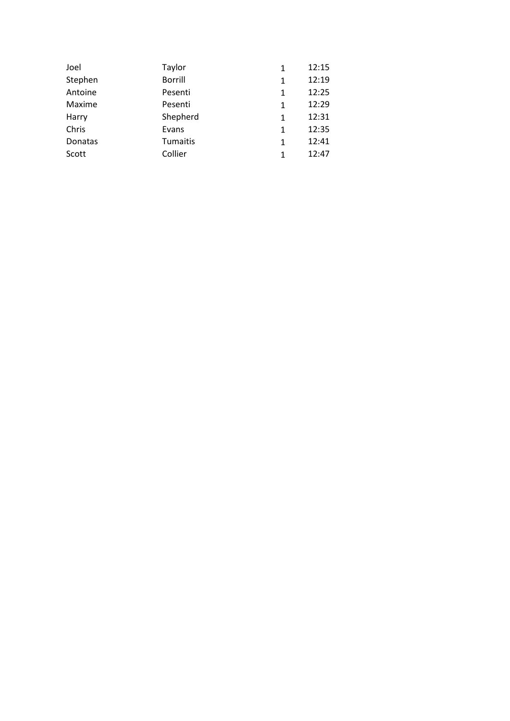| Joel    | Taylor         | 1 | 12:15 |
|---------|----------------|---|-------|
| Stephen | <b>Borrill</b> | 1 | 12:19 |
| Antoine | Pesenti        | 1 | 12:25 |
| Maxime  | Pesenti        | 1 | 12:29 |
| Harry   | Shepherd       | 1 | 12:31 |
| Chris   | Evans          | 1 | 12:35 |
| Donatas | Tumaitis       | 1 | 12:41 |
| Scott   | Collier        | 1 | 12:47 |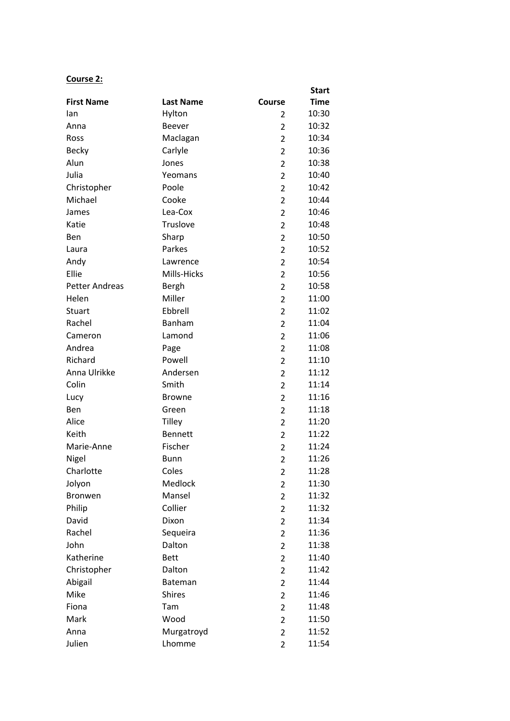## **Course 2:**

|                       |                  |                | <b>Start</b> |
|-----------------------|------------------|----------------|--------------|
| <b>First Name</b>     | <b>Last Name</b> | Course         | <b>Time</b>  |
| lan                   | Hylton           | 2              | 10:30        |
| Anna                  | <b>Beever</b>    | $\overline{2}$ | 10:32        |
| Ross                  | Maclagan         | $\overline{2}$ | 10:34        |
| <b>Becky</b>          | Carlyle          | 2              | 10:36        |
| Alun                  | Jones            | $\overline{2}$ | 10:38        |
| Julia                 | Yeomans          | $\overline{2}$ | 10:40        |
| Christopher           | Poole            | $\overline{2}$ | 10:42        |
| Michael               | Cooke            | $\overline{2}$ | 10:44        |
| James                 | Lea-Cox          | 2              | 10:46        |
| Katie                 | Truslove         | $\overline{2}$ | 10:48        |
| Ben                   | Sharp            | $\overline{2}$ | 10:50        |
| Laura                 | Parkes           | $\overline{2}$ | 10:52        |
| Andy                  | Lawrence         | $\overline{2}$ | 10:54        |
| Ellie                 | Mills-Hicks      | 2              | 10:56        |
| <b>Petter Andreas</b> | Bergh            | $\overline{2}$ | 10:58        |
| Helen                 | Miller           | $\overline{2}$ | 11:00        |
| Stuart                | Ebbrell          | $\overline{2}$ | 11:02        |
| Rachel                | Banham           | $\overline{2}$ | 11:04        |
| Cameron               | Lamond           | 2              | 11:06        |
| Andrea                | Page             | $\overline{2}$ | 11:08        |
| Richard               | Powell           | $\overline{2}$ | 11:10        |
| Anna Ulrikke          | Andersen         | $\overline{2}$ | 11:12        |
| Colin                 | Smith            | $\overline{2}$ | 11:14        |
| Lucy                  | <b>Browne</b>    | 2              | 11:16        |
| Ben                   | Green            | $\overline{2}$ | 11:18        |
| Alice                 | <b>Tilley</b>    | $\overline{2}$ | 11:20        |
| Keith                 | <b>Bennett</b>   | $\overline{2}$ | 11:22        |
| Marie-Anne            | Fischer          | $\overline{2}$ | 11:24        |
| Nigel                 | <b>Bunn</b>      | $\overline{2}$ | 11:26        |
| Charlotte             | Coles            | $\overline{c}$ | 11:28        |
| Jolyon                | Medlock          | $\overline{2}$ | 11:30        |
| Bronwen               | Mansel           | $\overline{2}$ | 11:32        |
| Philip                | Collier          | $\overline{2}$ | 11:32        |
| David                 | Dixon            | 2              | 11:34        |
| Rachel                | Sequeira         | $\overline{2}$ | 11:36        |
| John                  | Dalton           | $\overline{2}$ | 11:38        |
| Katherine             | <b>Bett</b>      | $\overline{2}$ | 11:40        |
| Christopher           | Dalton           | $\overline{2}$ | 11:42        |
| Abigail               | <b>Bateman</b>   | $\overline{2}$ | 11:44        |
| Mike                  | <b>Shires</b>    | $\overline{2}$ | 11:46        |
| Fiona                 | Tam              | $\overline{2}$ | 11:48        |
| Mark                  | Wood             | $\overline{2}$ | 11:50        |
| Anna                  | Murgatroyd       | $\overline{2}$ | 11:52        |
| Julien                | Lhomme           | $\overline{2}$ | 11:54        |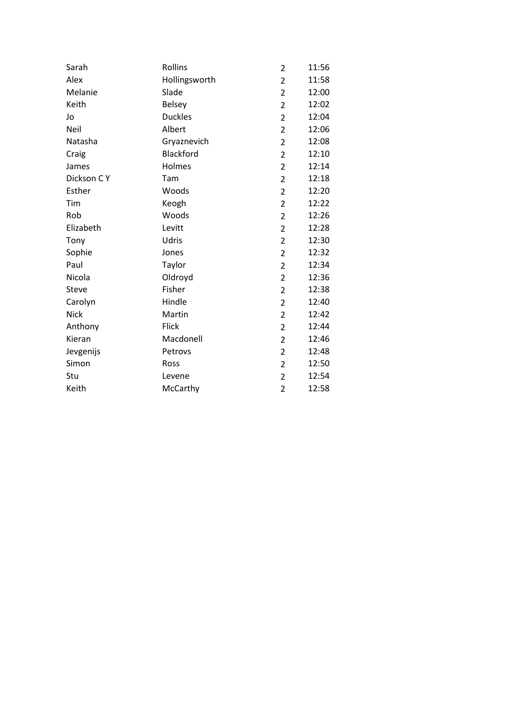| Sarah       | Rollins        | $\overline{2}$ | 11:56 |
|-------------|----------------|----------------|-------|
| Alex        | Hollingsworth  | $\overline{2}$ | 11:58 |
| Melanie     | Slade          | 2              | 12:00 |
| Keith       | <b>Belsey</b>  | $\overline{2}$ | 12:02 |
| Jo          | <b>Duckles</b> | $\overline{2}$ | 12:04 |
| Neil        | Albert         | 2              | 12:06 |
| Natasha     | Gryaznevich    | $\overline{2}$ | 12:08 |
| Craig       | Blackford      | $\overline{2}$ | 12:10 |
| James       | Holmes         | $\overline{2}$ | 12:14 |
| Dickson CY  | Tam            | $\overline{2}$ | 12:18 |
| Esther      | Woods          | $\overline{2}$ | 12:20 |
| Tim         | Keogh          | $\overline{2}$ | 12:22 |
| Rob         | Woods          | $\overline{2}$ | 12:26 |
| Elizabeth   | Levitt         | $\overline{2}$ | 12:28 |
| Tony        | Udris          | $\overline{2}$ | 12:30 |
| Sophie      | Jones          | $\overline{2}$ | 12:32 |
| Paul        | Taylor         | $\overline{2}$ | 12:34 |
| Nicola      | Oldroyd        | $\overline{2}$ | 12:36 |
| Steve       | Fisher         | $\overline{2}$ | 12:38 |
| Carolyn     | Hindle         | $\overline{2}$ | 12:40 |
| <b>Nick</b> | Martin         | $\overline{2}$ | 12:42 |
| Anthony     | Flick          | $\overline{2}$ | 12:44 |
| Kieran      | Macdonell      | 2              | 12:46 |
| Jevgenijs   | Petrovs        | 2              | 12:48 |
| Simon       | Ross           | $\overline{2}$ | 12:50 |
| Stu         | Levene         | $\overline{2}$ | 12:54 |
| Keith       | McCarthy       | $\overline{2}$ | 12:58 |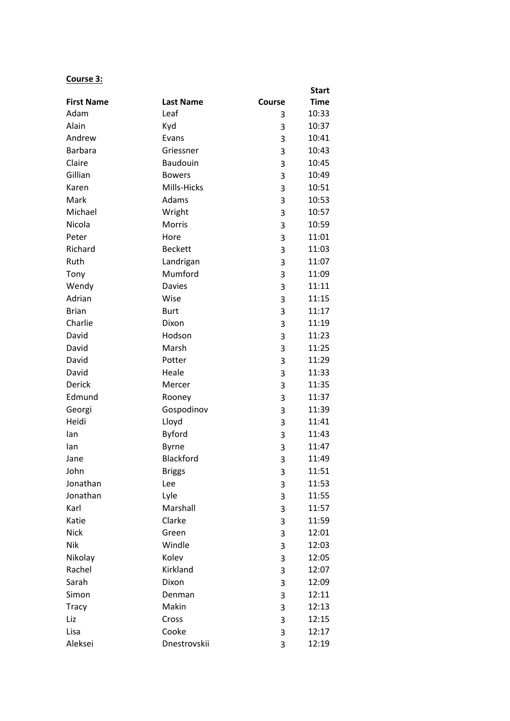### **Course 3:**

|                   |                  |               | <b>Start</b> |
|-------------------|------------------|---------------|--------------|
| <b>First Name</b> | <b>Last Name</b> | <b>Course</b> | <b>Time</b>  |
| Adam              | Leaf             | 3             | 10:33        |
| Alain             | Kyd              | 3             | 10:37        |
| Andrew            | Evans            | 3             | 10:41        |
| <b>Barbara</b>    | Griessner        | 3             | 10:43        |
| Claire            | <b>Baudouin</b>  | 3             | 10:45        |
| Gillian           | <b>Bowers</b>    | 3             | 10:49        |
| Karen             | Mills-Hicks      | 3             | 10:51        |
| Mark              | Adams            | 3             | 10:53        |
| Michael           | Wright           | 3             | 10:57        |
| Nicola            | Morris           | 3             | 10:59        |
| Peter             | Hore             | 3             | 11:01        |
| Richard           | <b>Beckett</b>   | 3             | 11:03        |
| Ruth              | Landrigan        | 3             | 11:07        |
| Tony              | Mumford          | 3             | 11:09        |
| Wendy             | <b>Davies</b>    | 3             | 11:11        |
| Adrian            | Wise             | 3             | 11:15        |
| <b>Brian</b>      | <b>Burt</b>      | 3             | 11:17        |
| Charlie           | Dixon            | 3             | 11:19        |
| David             | Hodson           | 3             | 11:23        |
| David             | Marsh            | 3             | 11:25        |
| David             | Potter           | 3             | 11:29        |
| David             | Heale            | 3             | 11:33        |
| <b>Derick</b>     | Mercer           | 3             | 11:35        |
| Edmund            | Rooney           | 3             | 11:37        |
| Georgi            | Gospodinov       | 3             | 11:39        |
| Heidi             | Lloyd            | 3             | 11:41        |
| lan               | <b>Byford</b>    | 3             | 11:43        |
| lan               | <b>Byrne</b>     | 3             | 11:47        |
| Jane              | Blackford        | 3             | 11:49        |
| John              | <b>Briggs</b>    | 3             | 11:51        |
| Jonathan          | Lee              | 3             | 11:53        |
| Jonathan          | Lyle             | 3             | 11:55        |
| Karl              | Marshall         | 3             | 11:57        |
| Katie             | Clarke           | 3             | 11:59        |
| <b>Nick</b>       | Green            | 3             | 12:01        |
| Nik               | Windle           | 3             | 12:03        |
| Nikolay           | Kolev            | 3             | 12:05        |
| Rachel            | Kirkland         | 3             | 12:07        |
| Sarah             | Dixon            | 3             | 12:09        |
| Simon             | Denman           | 3             | 12:11        |
| <b>Tracy</b>      | Makin            | 3             | 12:13        |
| Liz               | Cross            | 3             | 12:15        |
| Lisa              | Cooke            | 3             | 12:17        |
| Aleksei           | Dnestrovskii     | 3             | 12:19        |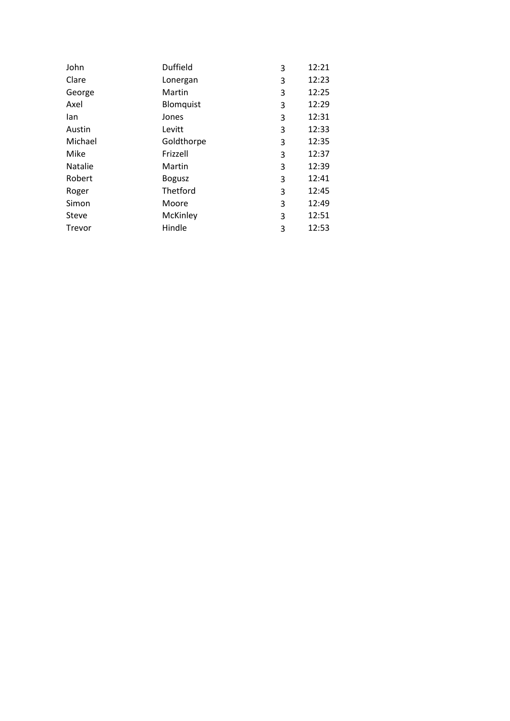| John           | <b>Duffield</b> | 3 | 12:21 |
|----------------|-----------------|---|-------|
| Clare          | Lonergan        | 3 | 12:23 |
| George         | Martin          | 3 | 12:25 |
| Axel           | Blomquist       | 3 | 12:29 |
| lan            | Jones           | 3 | 12:31 |
| Austin         | Levitt          | 3 | 12:33 |
| Michael        | Goldthorpe      | 3 | 12:35 |
| Mike           | Frizzell        | 3 | 12:37 |
| <b>Natalie</b> | Martin          | 3 | 12:39 |
| Robert         | <b>Bogusz</b>   | 3 | 12:41 |
| Roger          | Thetford        | 3 | 12:45 |
| Simon          | Moore           | 3 | 12:49 |
| Steve          | McKinley        | 3 | 12:51 |
| Trevor         | Hindle          | 3 | 12:53 |
|                |                 |   |       |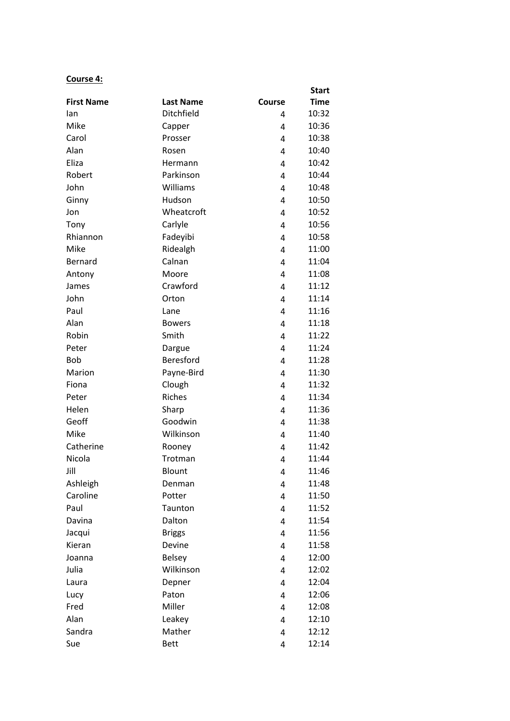## **Course 4:**

|                   |                  |        | <b>Start</b> |
|-------------------|------------------|--------|--------------|
| <b>First Name</b> | <b>Last Name</b> | Course | <b>Time</b>  |
| lan               | Ditchfield       | 4      | 10:32        |
| Mike              | Capper           | 4      | 10:36        |
| Carol             | Prosser          | 4      | 10:38        |
| Alan              | Rosen            | 4      | 10:40        |
| Eliza             | Hermann          | 4      | 10:42        |
| Robert            | Parkinson        | 4      | 10:44        |
| John              | Williams         | 4      | 10:48        |
| Ginny             | Hudson           | 4      | 10:50        |
| Jon               | Wheatcroft       | 4      | 10:52        |
| Tony              | Carlyle          | 4      | 10:56        |
| Rhiannon          | Fadeyibi         | 4      | 10:58        |
| Mike              | Ridealgh         | 4      | 11:00        |
| Bernard           | Calnan           | 4      | 11:04        |
| Antony            | Moore            | 4      | 11:08        |
| James             | Crawford         | 4      | 11:12        |
| John              | Orton            | 4      | 11:14        |
| Paul              | Lane             | 4      | 11:16        |
| Alan              | <b>Bowers</b>    | 4      | 11:18        |
| Robin             | Smith            | 4      | 11:22        |
| Peter             | Dargue           | 4      | 11:24        |
| <b>Bob</b>        | Beresford        | 4      | 11:28        |
| Marion            | Payne-Bird       | 4      | 11:30        |
| Fiona             | Clough           | 4      | 11:32        |
| Peter             | Riches           | 4      | 11:34        |
| Helen             | Sharp            | 4      | 11:36        |
| Geoff             | Goodwin          | 4      | 11:38        |
| Mike              | Wilkinson        | 4      | 11:40        |
| Catherine         | Rooney           | 4      | 11:42        |
| Nicola            | Trotman          | 4      | 11:44        |
| Jill              | Blount           | 4      | 11:46        |
| Ashleigh          | Denman           | 4      | 11:48        |
| Caroline          | Potter           | 4      | 11:50        |
| Paul              | Taunton          | 4      | 11:52        |
| Davina            | Dalton           | 4      | 11:54        |
| Jacqui            | <b>Briggs</b>    | 4      | 11:56        |
| Kieran            | Devine           | 4      | 11:58        |
| Joanna            | <b>Belsey</b>    | 4      | 12:00        |
| Julia             | Wilkinson        | 4      | 12:02        |
| Laura             | Depner           | 4      | 12:04        |
| Lucy              | Paton            | 4      | 12:06        |
| Fred              | Miller           | 4      | 12:08        |
| Alan              | Leakey           | 4      | 12:10        |
| Sandra            | Mather           | 4      | 12:12        |
| Sue               | <b>Bett</b>      | 4      | 12:14        |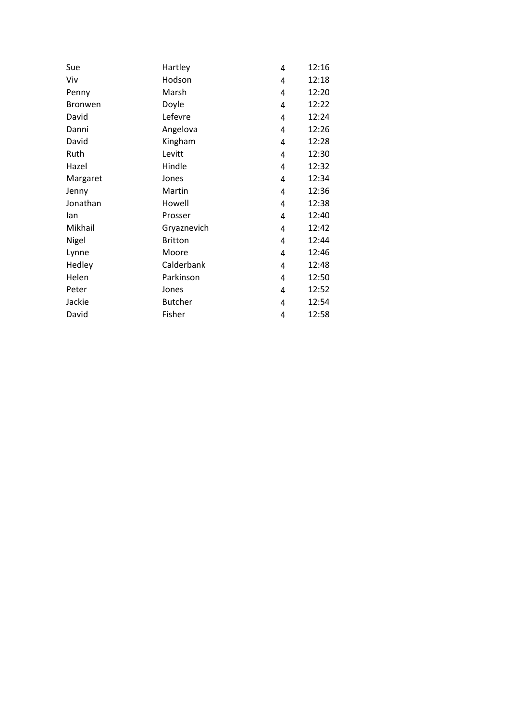| Sue            | Hartley        | 4 | 12:16 |
|----------------|----------------|---|-------|
| Viv            | Hodson         | 4 | 12:18 |
| Penny          | Marsh          | 4 | 12:20 |
| <b>Bronwen</b> | Doyle          | 4 | 12:22 |
| David          | Lefevre        | 4 | 12:24 |
| Danni          | Angelova       | 4 | 12:26 |
| David          | Kingham        | 4 | 12:28 |
| Ruth           | Levitt         | 4 | 12:30 |
| Hazel          | Hindle         | 4 | 12:32 |
| Margaret       | Jones          | 4 | 12:34 |
| Jenny          | Martin         | 4 | 12:36 |
| Jonathan       | Howell         | 4 | 12:38 |
| lan            | Prosser        | 4 | 12:40 |
| Mikhail        | Gryaznevich    | 4 | 12:42 |
| Nigel          | <b>Britton</b> | 4 | 12:44 |
| Lynne          | Moore          | 4 | 12:46 |
| Hedley         | Calderbank     | 4 | 12:48 |
| Helen          | Parkinson      | 4 | 12:50 |
| Peter          | Jones          | 4 | 12:52 |
| Jackie         | <b>Butcher</b> | 4 | 12:54 |
| David          | Fisher         | 4 | 12:58 |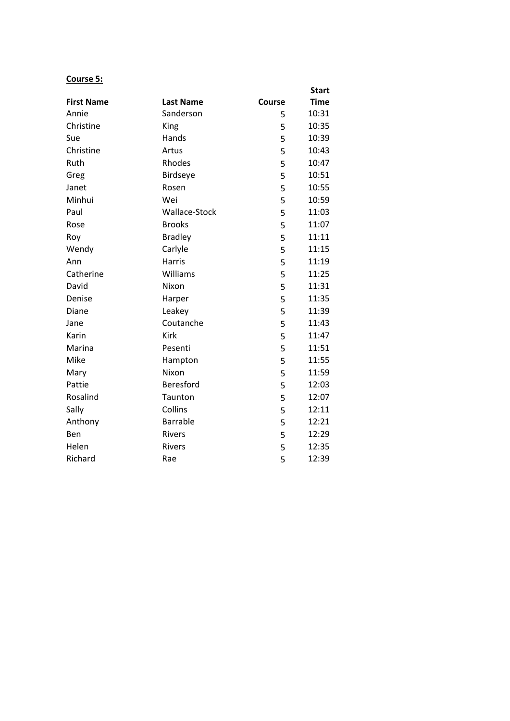## **Course 5:**

|                   |                  |        | <b>Start</b> |
|-------------------|------------------|--------|--------------|
| <b>First Name</b> | <b>Last Name</b> | Course | <b>Time</b>  |
| Annie             | Sanderson        | 5      | 10:31        |
| Christine         | King             | 5      | 10:35        |
| Sue               | Hands            | 5      | 10:39        |
| Christine         | Artus            | 5      | 10:43        |
| Ruth              | Rhodes           | 5      | 10:47        |
| Greg              | Birdseye         | 5      | 10:51        |
| Janet             | Rosen            | 5      | 10:55        |
| Minhui            | Wei              | 5      | 10:59        |
| Paul              | Wallace-Stock    | 5      | 11:03        |
| Rose              | <b>Brooks</b>    | 5      | 11:07        |
| Roy               | <b>Bradley</b>   | 5      | 11:11        |
| Wendy             | Carlyle          | 5      | 11:15        |
| Ann               | <b>Harris</b>    | 5      | 11:19        |
| Catherine         | Williams         | 5      | 11:25        |
| David             | Nixon            | 5      | 11:31        |
| Denise            | Harper           | 5      | 11:35        |
| Diane             | Leakey           | 5      | 11:39        |
| Jane              | Coutanche        | 5      | 11:43        |
| Karin             | <b>Kirk</b>      | 5      | 11:47        |
| Marina            | Pesenti          | 5      | 11:51        |
| Mike              | Hampton          | 5      | 11:55        |
| Mary              | Nixon            | 5      | 11:59        |
| Pattie            | Beresford        | 5      | 12:03        |
| Rosalind          | Taunton          | 5      | 12:07        |
| Sally             | Collins          | 5      | 12:11        |
| Anthony           | <b>Barrable</b>  | 5      | 12:21        |
| <b>Ben</b>        | <b>Rivers</b>    | 5      | 12:29        |
| Helen             | Rivers           | 5      | 12:35        |
| Richard           | Rae              | 5      | 12:39        |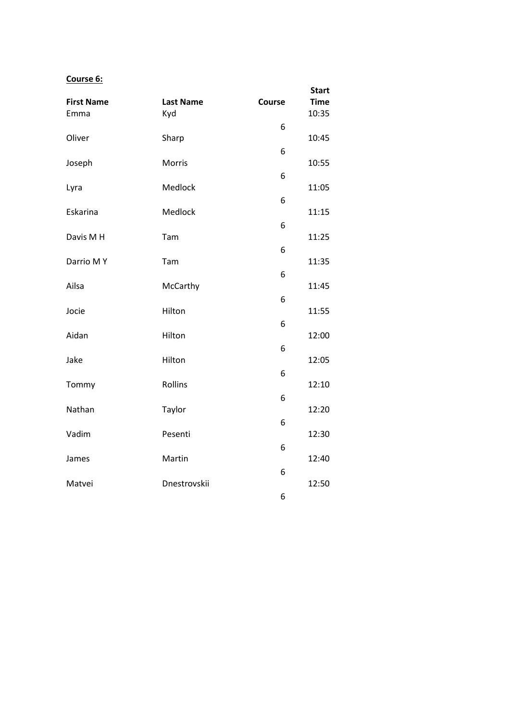## **Course 6:**

|                           |                         |        | <b>Start</b>         |
|---------------------------|-------------------------|--------|----------------------|
| <b>First Name</b><br>Emma | <b>Last Name</b><br>Kyd | Course | <b>Time</b><br>10:35 |
| Oliver                    | Sharp                   | 6      | 10:45                |
|                           |                         | 6      |                      |
| Joseph                    | Morris                  | 6      | 10:55                |
| Lyra                      | Medlock                 |        | 11:05                |
| Eskarina                  | Medlock                 | 6      | 11:15                |
| Davis M H                 | Tam                     | 6      | 11:25                |
|                           |                         | 6      |                      |
| Darrio MY                 | Tam                     | 6      | 11:35                |
| Ailsa                     | McCarthy                | 6      | 11:45                |
| Jocie                     | Hilton                  |        | 11:55                |
| Aidan                     | Hilton                  | 6      | 12:00                |
| Jake                      | Hilton                  | 6      | 12:05                |
|                           |                         | 6      |                      |
| Tommy                     | Rollins                 | 6      | 12:10                |
| Nathan                    | Taylor                  | 6      | 12:20                |
| Vadim                     | Pesenti                 |        | 12:30                |
| James                     | Martin                  | 6      | 12:40                |
| Matvei                    | Dnestrovskii            | 6      | 12:50                |
|                           |                         | 6      |                      |